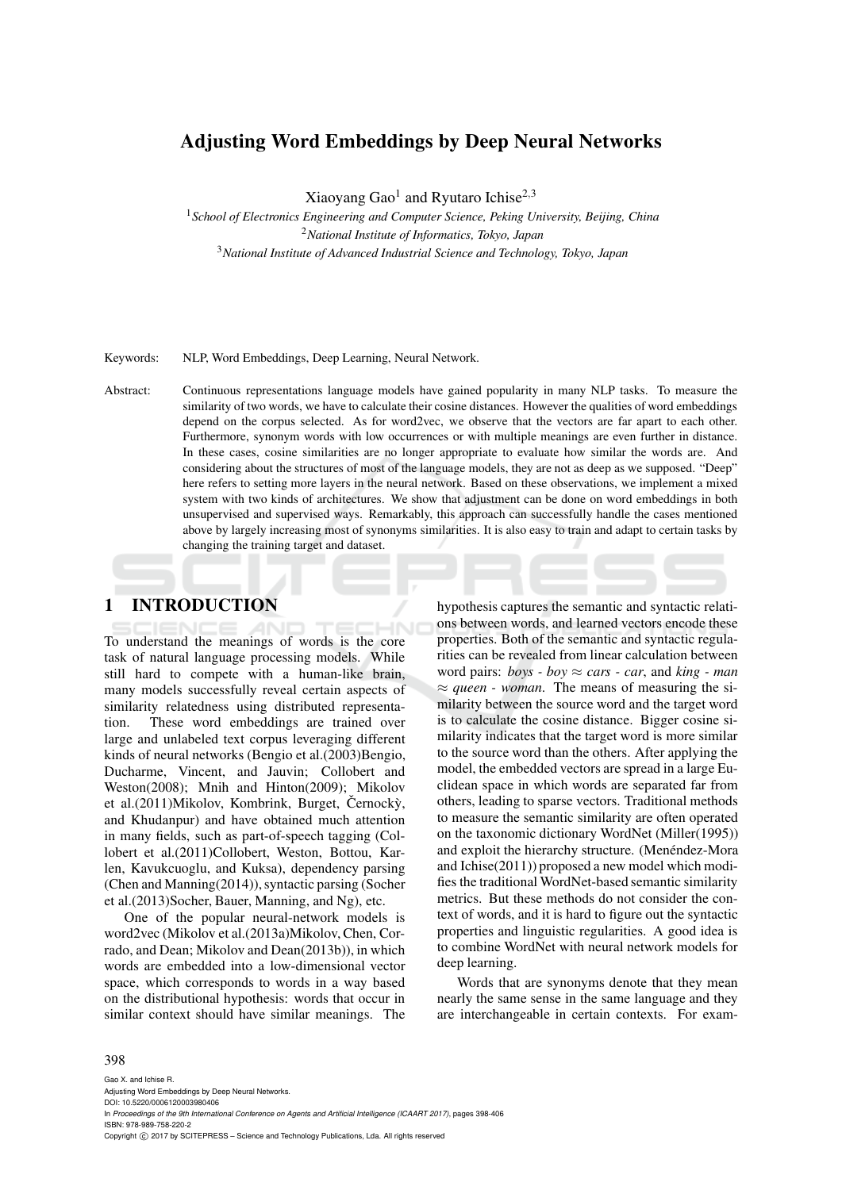# **Adjusting Word Embeddings by Deep Neural Networks**

Xiaoyang Gao<sup>1</sup> and Ryutaro Ichise<sup>2,3</sup>

<sup>1</sup>*School of Electronics Engineering and Computer Science, Peking University, Beijing, China* <sup>2</sup>*National Institute of Informatics, Tokyo, Japan* <sup>3</sup>*National Institute of Advanced Industrial Science and Technology, Tokyo, Japan*

Keywords: NLP, Word Embeddings, Deep Learning, Neural Network.

Abstract: Continuous representations language models have gained popularity in many NLP tasks. To measure the similarity of two words, we have to calculate their cosine distances. However the qualities of word embeddings depend on the corpus selected. As for word2vec, we observe that the vectors are far apart to each other. Furthermore, synonym words with low occurrences or with multiple meanings are even further in distance. In these cases, cosine similarities are no longer appropriate to evaluate how similar the words are. And considering about the structures of most of the language models, they are not as deep as we supposed. "Deep" here refers to setting more layers in the neural network. Based on these observations, we implement a mixed system with two kinds of architectures. We show that adjustment can be done on word embeddings in both unsupervised and supervised ways. Remarkably, this approach can successfully handle the cases mentioned above by largely increasing most of synonyms similarities. It is also easy to train and adapt to certain tasks by changing the training target and dataset.

## **1 INTRODUCTION**

To understand the meanings of words is the core task of natural language processing models. While still hard to compete with a human-like brain, many models successfully reveal certain aspects of similarity relatedness using distributed representation. These word embeddings are trained over large and unlabeled text corpus leveraging different kinds of neural networks (Bengio et al.(2003)Bengio, Ducharme, Vincent, and Jauvin; Collobert and Weston(2008); Mnih and Hinton(2009); Mikolov et al.(2011)Mikolov, Kombrink, Burget, Černockỳ, and Khudanpur) and have obtained much attention in many fields, such as part-of-speech tagging (Collobert et al.(2011)Collobert, Weston, Bottou, Karlen, Kavukcuoglu, and Kuksa), dependency parsing (Chen and Manning(2014)), syntactic parsing (Socher et al.(2013)Socher, Bauer, Manning, and Ng), etc.

One of the popular neural-network models is word2vec (Mikolov et al.(2013a)Mikolov, Chen, Corrado, and Dean; Mikolov and Dean(2013b)), in which words are embedded into a low-dimensional vector space, which corresponds to words in a way based on the distributional hypothesis: words that occur in similar context should have similar meanings. The

hypothesis captures the semantic and syntactic relations between words, and learned vectors encode these properties. Both of the semantic and syntactic regularities can be revealed from linear calculation between word pairs:  $boys - boy \approx cars - car$ , and  $king - man$  $\approx$  *queen - woman*. The means of measuring the similarity between the source word and the target word is to calculate the cosine distance. Bigger cosine similarity indicates that the target word is more similar to the source word than the others. After applying the model, the embedded vectors are spread in a large Euclidean space in which words are separated far from others, leading to sparse vectors. Traditional methods to measure the semantic similarity are often operated on the taxonomic dictionary WordNet (Miller(1995)) and exploit the hierarchy structure. (Menéndez-Mora and Ichise(2011)) proposed a new model which modifies the traditional WordNet-based semantic similarity metrics. But these methods do not consider the context of words, and it is hard to figure out the syntactic properties and linguistic regularities. A good idea is to combine WordNet with neural network models for deep learning.

Words that are synonyms denote that they mean nearly the same sense in the same language and they are interchangeable in certain contexts. For exam-

#### 398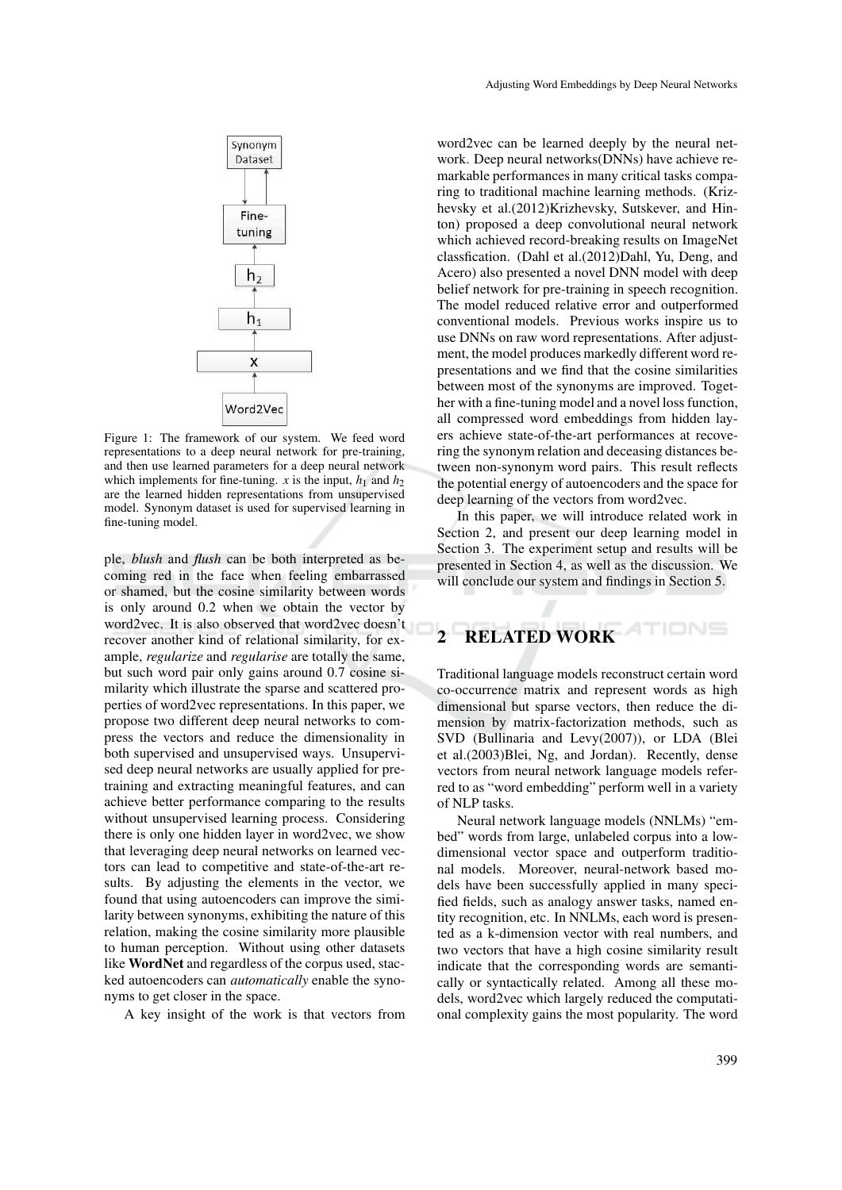

Figure 1: The framework of our system. We feed word representations to a deep neural network for pre-training, and then use learned parameters for a deep neural network which implements for fine-tuning. *x* is the input,  $h_1$  and  $h_2$ are the learned hidden representations from unsupervised model. Synonym dataset is used for supervised learning in fine-tuning model.

ple, *blush* and *flush* can be both interpreted as becoming red in the face when feeling embarrassed or shamed, but the cosine similarity between words is only around 0.2 when we obtain the vector by word2vec. It is also observed that word2vec doesn't recover another kind of relational similarity, for example, *regularize* and *regularise* are totally the same, but such word pair only gains around 0.7 cosine similarity which illustrate the sparse and scattered properties of word2vec representations. In this paper, we propose two different deep neural networks to compress the vectors and reduce the dimensionality in both supervised and unsupervised ways. Unsupervised deep neural networks are usually applied for pretraining and extracting meaningful features, and can achieve better performance comparing to the results without unsupervised learning process. Considering there is only one hidden layer in word2vec, we show that leveraging deep neural networks on learned vectors can lead to competitive and state-of-the-art results. By adjusting the elements in the vector, we found that using autoencoders can improve the similarity between synonyms, exhibiting the nature of this relation, making the cosine similarity more plausible to human perception. Without using other datasets like **WordNet** and regardless of the corpus used, stacked autoencoders can *automatically* enable the synonyms to get closer in the space.

A key insight of the work is that vectors from

word2vec can be learned deeply by the neural network. Deep neural networks(DNNs) have achieve remarkable performances in many critical tasks comparing to traditional machine learning methods. (Krizhevsky et al.(2012)Krizhevsky, Sutskever, and Hinton) proposed a deep convolutional neural network which achieved record-breaking results on ImageNet classfication. (Dahl et al.(2012)Dahl, Yu, Deng, and Acero) also presented a novel DNN model with deep belief network for pre-training in speech recognition. The model reduced relative error and outperformed conventional models. Previous works inspire us to use DNNs on raw word representations. After adjustment, the model produces markedly different word representations and we find that the cosine similarities between most of the synonyms are improved. Together with a fine-tuning model and a novel loss function, all compressed word embeddings from hidden layers achieve state-of-the-art performances at recovering the synonym relation and deceasing distances between non-synonym word pairs. This result reflects the potential energy of autoencoders and the space for deep learning of the vectors from word2vec.

In this paper, we will introduce related work in Section 2, and present our deep learning model in Section 3. The experiment setup and results will be presented in Section 4, as well as the discussion. We will conclude our system and findings in Section 5.

#### TIONS **2 RELATED WORK**

Traditional language models reconstruct certain word co-occurrence matrix and represent words as high dimensional but sparse vectors, then reduce the dimension by matrix-factorization methods, such as SVD (Bullinaria and Levy(2007)), or LDA (Blei et al.(2003)Blei, Ng, and Jordan). Recently, dense vectors from neural network language models referred to as "word embedding" perform well in a variety of NLP tasks.

Neural network language models (NNLMs) "embed" words from large, unlabeled corpus into a lowdimensional vector space and outperform traditional models. Moreover, neural-network based models have been successfully applied in many specified fields, such as analogy answer tasks, named entity recognition, etc. In NNLMs, each word is presented as a k-dimension vector with real numbers, and two vectors that have a high cosine similarity result indicate that the corresponding words are semantically or syntactically related. Among all these models, word2vec which largely reduced the computational complexity gains the most popularity. The word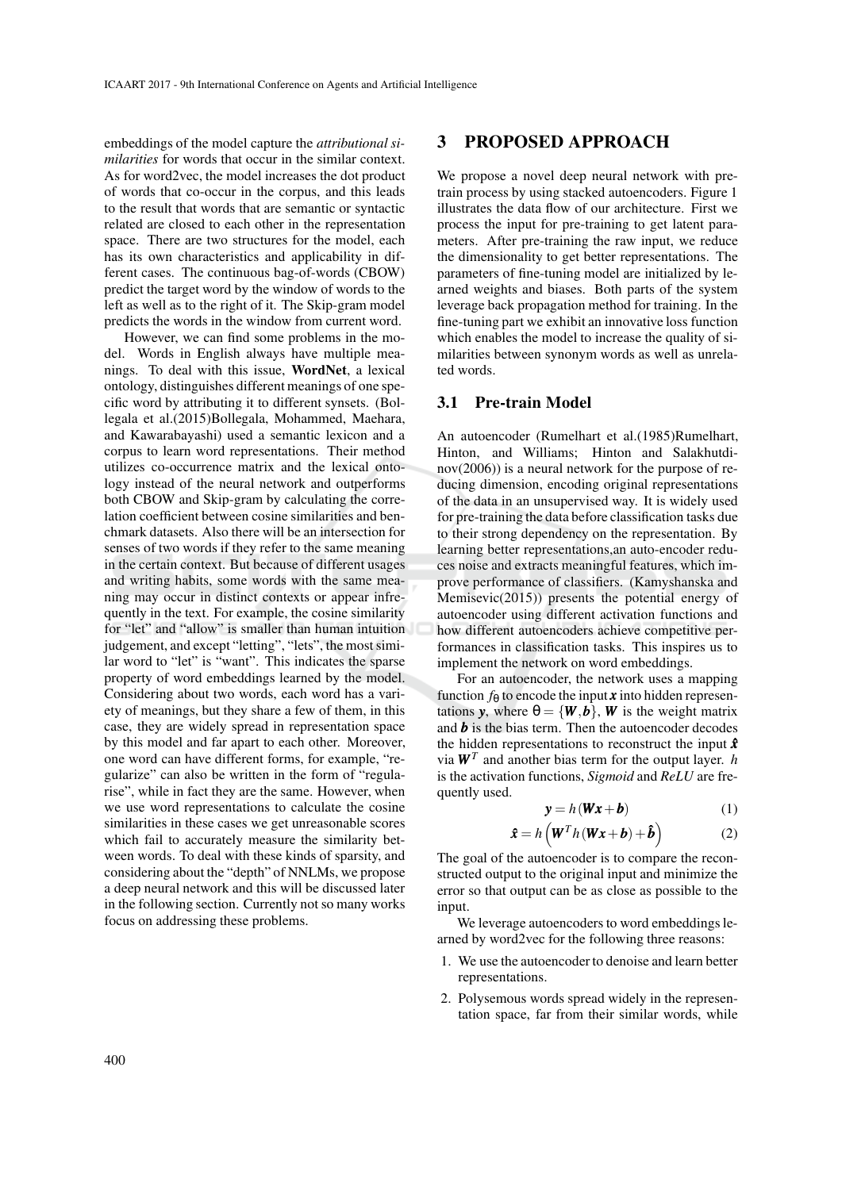embeddings of the model capture the *attributional similarities* for words that occur in the similar context. As for word2vec, the model increases the dot product of words that co-occur in the corpus, and this leads to the result that words that are semantic or syntactic related are closed to each other in the representation space. There are two structures for the model, each has its own characteristics and applicability in different cases. The continuous bag-of-words (CBOW) predict the target word by the window of words to the left as well as to the right of it. The Skip-gram model predicts the words in the window from current word.

However, we can find some problems in the model. Words in English always have multiple meanings. To deal with this issue, **WordNet**, a lexical ontology, distinguishes different meanings of one specific word by attributing it to different synsets. (Bollegala et al.(2015)Bollegala, Mohammed, Maehara, and Kawarabayashi) used a semantic lexicon and a corpus to learn word representations. Their method utilizes co-occurrence matrix and the lexical ontology instead of the neural network and outperforms both CBOW and Skip-gram by calculating the correlation coefficient between cosine similarities and benchmark datasets. Also there will be an intersection for senses of two words if they refer to the same meaning in the certain context. But because of different usages and writing habits, some words with the same meaning may occur in distinct contexts or appear infrequently in the text. For example, the cosine similarity for "let" and "allow" is smaller than human intuition judgement, and except "letting", "lets", the most similar word to "let" is "want". This indicates the sparse property of word embeddings learned by the model. Considering about two words, each word has a variety of meanings, but they share a few of them, in this case, they are widely spread in representation space by this model and far apart to each other. Moreover, one word can have different forms, for example, "regularize" can also be written in the form of "regularise", while in fact they are the same. However, when we use word representations to calculate the cosine similarities in these cases we get unreasonable scores which fail to accurately measure the similarity between words. To deal with these kinds of sparsity, and considering about the "depth" of NNLMs, we propose a deep neural network and this will be discussed later in the following section. Currently not so many works focus on addressing these problems.

### **3 PROPOSED APPROACH**

We propose a novel deep neural network with pretrain process by using stacked autoencoders. Figure 1 illustrates the data flow of our architecture. First we process the input for pre-training to get latent parameters. After pre-training the raw input, we reduce the dimensionality to get better representations. The parameters of fine-tuning model are initialized by learned weights and biases. Both parts of the system leverage back propagation method for training. In the fine-tuning part we exhibit an innovative loss function which enables the model to increase the quality of similarities between synonym words as well as unrelated words.

#### **3.1 Pre-train Model**

An autoencoder (Rumelhart et al.(1985)Rumelhart, Hinton, and Williams; Hinton and Salakhutdinov(2006)) is a neural network for the purpose of reducing dimension, encoding original representations of the data in an unsupervised way. It is widely used for pre-training the data before classification tasks due to their strong dependency on the representation. By learning better representations,an auto-encoder reduces noise and extracts meaningful features, which improve performance of classifiers. (Kamyshanska and Memisevic(2015)) presents the potential energy of autoencoder using different activation functions and how different autoencoders achieve competitive performances in classification tasks. This inspires us to implement the network on word embeddings.

For an autoencoder, the network uses a mapping function  $f_{\theta}$  to encode the input *x* into hidden representations *y*, where  $\theta = \{W, b\}$ , *W* is the weight matrix and *b* is the bias term. Then the autoencoder decodes the hidden representations to reconstruct the input  $\hat{x}$ via  $W<sup>T</sup>$  and another bias term for the output layer. *h* is the activation functions, *Sigmoid* and *ReLU* are frequently used.

$$
y = h(Wx + b)
$$
 (1)

$$
\hat{\boldsymbol{x}} = h\left(\boldsymbol{W}^T h\left(\boldsymbol{W}\boldsymbol{x} + \boldsymbol{b}\right) + \boldsymbol{\hat{b}}\right) \tag{2}
$$

The goal of the autoencoder is to compare the reconstructed output to the original input and minimize the error so that output can be as close as possible to the input.

We leverage autoencoders to word embeddings learned by word2vec for the following three reasons:

- 1. We use the autoencoder to denoise and learn better representations.
- 2. Polysemous words spread widely in the representation space, far from their similar words, while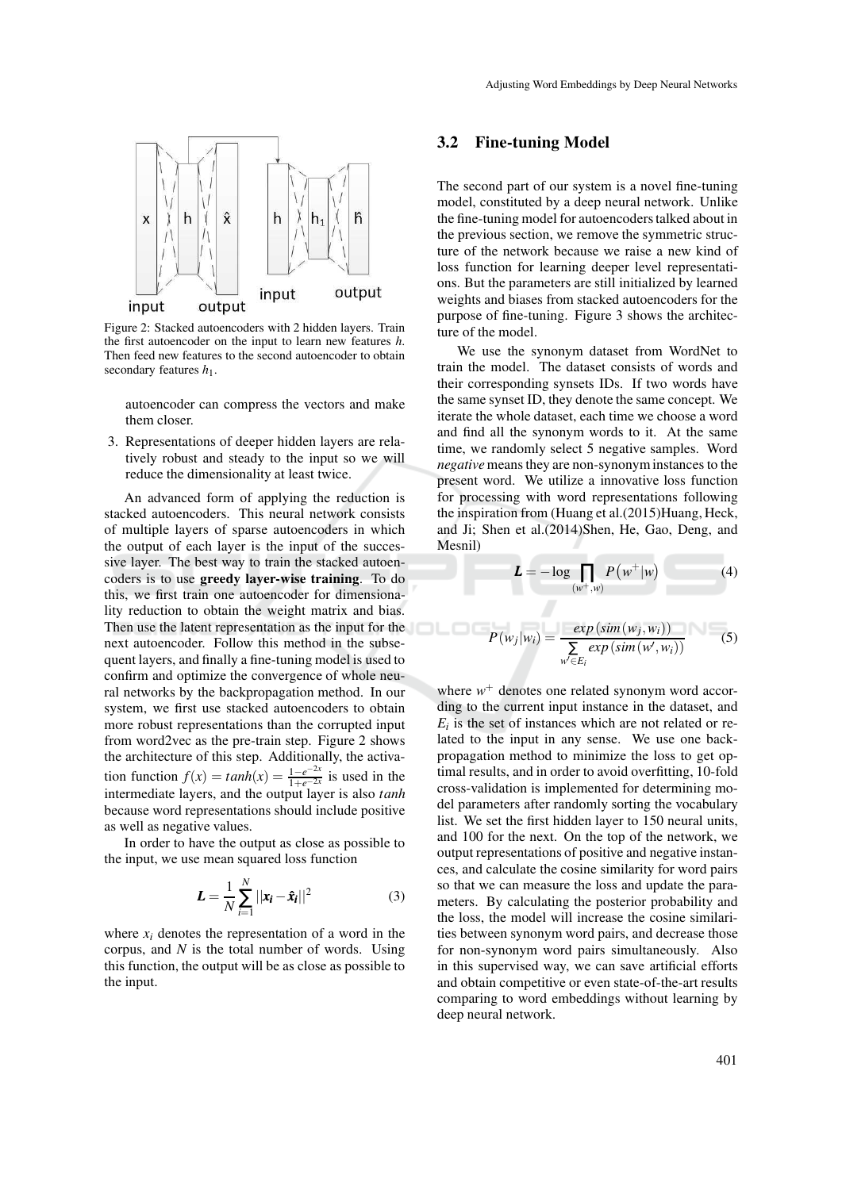

Figure 2: Stacked autoencoders with 2 hidden layers. Train the first autoencoder on the input to learn new features *h*. Then feed new features to the second autoencoder to obtain secondary features  $h_1$ .

autoencoder can compress the vectors and make them closer.

3. Representations of deeper hidden layers are relatively robust and steady to the input so we will reduce the dimensionality at least twice.

An advanced form of applying the reduction is stacked autoencoders. This neural network consists of multiple layers of sparse autoencoders in which the output of each layer is the input of the successive layer. The best way to train the stacked autoencoders is to use **greedy layer-wise training**. To do this, we first train one autoencoder for dimensionality reduction to obtain the weight matrix and bias. Then use the latent representation as the input for the next autoencoder. Follow this method in the subsequent layers, and finally a fine-tuning model is used to confirm and optimize the convergence of whole neural networks by the backpropagation method. In our system, we first use stacked autoencoders to obtain more robust representations than the corrupted input from word2vec as the pre-train step. Figure 2 shows the architecture of this step. Additionally, the activa- $\text{tion function } f(x) = \tanh(x) = \frac{1 - e^{-2x}}{1 + e^{-2x}}$  $\frac{1-e^{-2x}}{1+e^{-2x}}$  is used in the intermediate layers, and the output layer is also *tanh* because word representations should include positive as well as negative values.

In order to have the output as close as possible to the input, we use mean squared loss function

$$
L = \frac{1}{N} \sum_{i=1}^{N} ||x_i - \hat{x}_i||^2
$$
 (3)

where  $x_i$  denotes the representation of a word in the corpus, and *N* is the total number of words. Using this function, the output will be as close as possible to the input.

### **3.2 Fine-tuning Model**

The second part of our system is a novel fine-tuning model, constituted by a deep neural network. Unlike the fine-tuning model for autoencoders talked about in the previous section, we remove the symmetric structure of the network because we raise a new kind of loss function for learning deeper level representations. But the parameters are still initialized by learned weights and biases from stacked autoencoders for the purpose of fine-tuning. Figure 3 shows the architecture of the model.

We use the synonym dataset from WordNet to train the model. The dataset consists of words and their corresponding synsets IDs. If two words have the same synset ID, they denote the same concept. We iterate the whole dataset, each time we choose a word and find all the synonym words to it. At the same time, we randomly select 5 negative samples. Word *negative* means they are non-synonyminstances to the present word. We utilize a innovative loss function for processing with word representations following the inspiration from (Huang et al.(2015)Huang, Heck, and Ji; Shen et al.(2014)Shen, He, Gao, Deng, and Mesnil)

$$
L = -\log \prod_{(w^+,w)} P(w^+|w) \tag{4}
$$

$$
P(w_j|w_i) = \frac{exp\left(sim(w_j, w_i)\right)}{\sum\limits_{w' \in E_i} exp\left(sim(w', w_i)\right)}
$$
(5)

where  $w^+$  denotes one related synonym word according to the current input instance in the dataset, and  $E_i$  is the set of instances which are not related or related to the input in any sense. We use one backpropagation method to minimize the loss to get optimal results, and in order to avoid overfitting, 10-fold cross-validation is implemented for determining model parameters after randomly sorting the vocabulary list. We set the first hidden layer to 150 neural units, and 100 for the next. On the top of the network, we output representations of positive and negative instances, and calculate the cosine similarity for word pairs so that we can measure the loss and update the parameters. By calculating the posterior probability and the loss, the model will increase the cosine similarities between synonym word pairs, and decrease those for non-synonym word pairs simultaneously. Also in this supervised way, we can save artificial efforts and obtain competitive or even state-of-the-art results comparing to word embeddings without learning by deep neural network.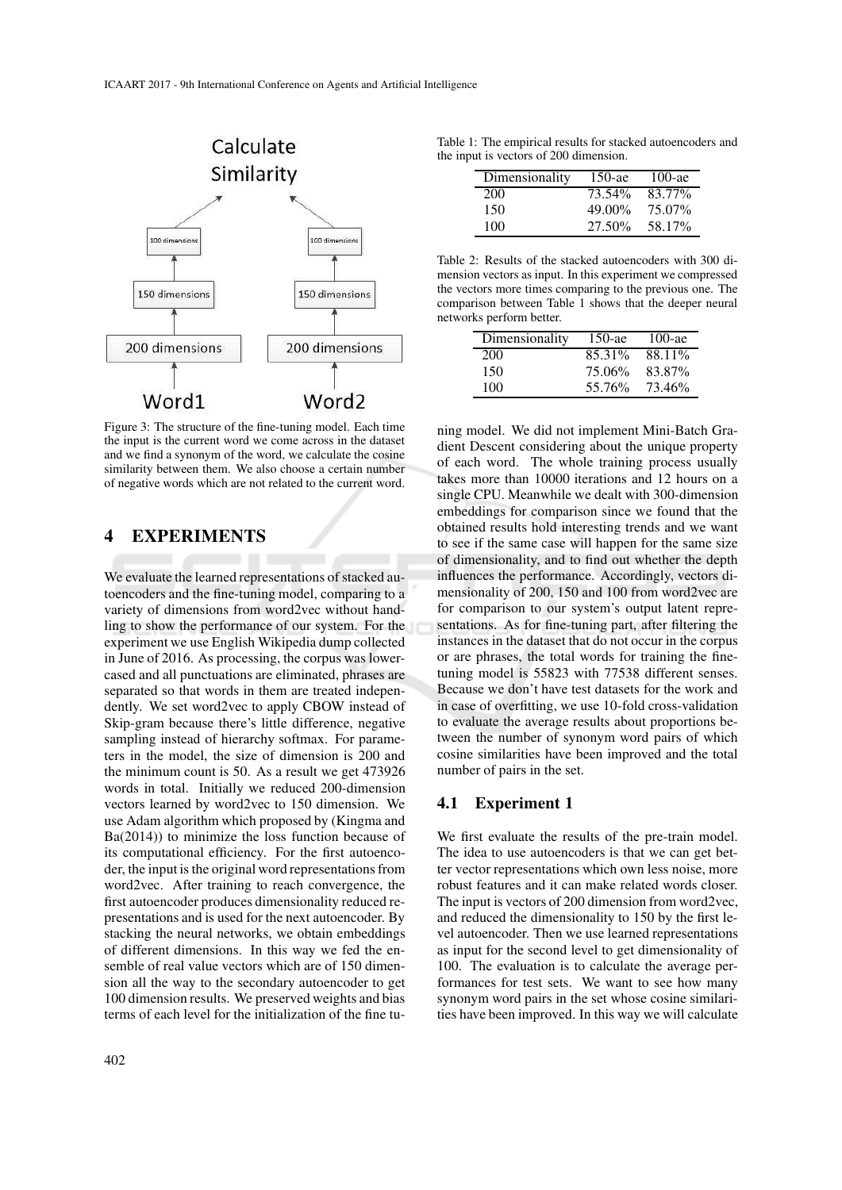

Figure 3: The structure of the fine-tuning model. Each time the input is the current word we come across in the dataset and we find a synonym of the word, we calculate the cosine similarity between them. We also choose a certain number of negative words which are not related to the current word.

### **4 EXPERIMENTS**

We evaluate the learned representations of stacked autoencoders and the fine-tuning model, comparing to a variety of dimensions from word2vec without handling to show the performance of our system. For the experiment we use English Wikipedia dump collected in June of 2016. As processing, the corpus was lowercased and all punctuations are eliminated, phrases are separated so that words in them are treated independently. We set word2vec to apply CBOW instead of Skip-gram because there's little difference, negative sampling instead of hierarchy softmax. For parameters in the model, the size of dimension is 200 and the minimum count is 50. As a result we get 473926 words in total. Initially we reduced 200-dimension vectors learned by word2vec to 150 dimension. We use Adam algorithm which proposed by (Kingma and Ba(2014)) to minimize the loss function because of its computational efficiency. For the first autoencoder, the input is the original word representations from word2vec. After training to reach convergence, the first autoencoder produces dimensionality reduced representations and is used for the next autoencoder. By stacking the neural networks, we obtain embeddings of different dimensions. In this way we fed the ensemble of real value vectors which are of 150 dimension all the way to the secondary autoencoder to get 100 dimension results. We preserved weights and bias terms of each level for the initialization of the fine tu-

| Dimensionality | $150$ -ae | $100$ -ae |
|----------------|-----------|-----------|
| 200            | 73.54%    | 83.77%    |
| 150            | 49.00%    | 75.07%    |
| 100            | 27.50%    | 58.17%    |

Table 2: Results of the stacked autoencoders with 300 dimension vectors as input. In this experiment we compressed the vectors more times comparing to the previous one. The comparison between Table 1 shows that the deeper neural networks perform better.

| Dimensionality | $150$ -ae | 100-ae |
|----------------|-----------|--------|
| 200            | 85.31%    | 88.11% |
| 150            | 75.06%    | 83.87% |
| 100            | 55.76%    | 73.46% |

ning model. We did not implement Mini-Batch Gradient Descent considering about the unique property of each word. The whole training process usually takes more than 10000 iterations and 12 hours on a single CPU. Meanwhile we dealt with 300-dimension embeddings for comparison since we found that the obtained results hold interesting trends and we want to see if the same case will happen for the same size of dimensionality, and to find out whether the depth influences the performance. Accordingly, vectors dimensionality of 200, 150 and 100 from word2vec are for comparison to our system's output latent representations. As for fine-tuning part, after filtering the instances in the dataset that do not occur in the corpus or are phrases, the total words for training the finetuning model is 55823 with 77538 different senses. Because we don't have test datasets for the work and in case of overfitting, we use 10-fold cross-validation to evaluate the average results about proportions between the number of synonym word pairs of which cosine similarities have been improved and the total number of pairs in the set.

#### **4.1 Experiment 1**

We first evaluate the results of the pre-train model. The idea to use autoencoders is that we can get better vector representations which own less noise, more robust features and it can make related words closer. The input is vectors of 200 dimension from word2vec, and reduced the dimensionality to 150 by the first level autoencoder. Then we use learned representations as input for the second level to get dimensionality of 100. The evaluation is to calculate the average performances for test sets. We want to see how many synonym word pairs in the set whose cosine similarities have been improved. In this way we will calculate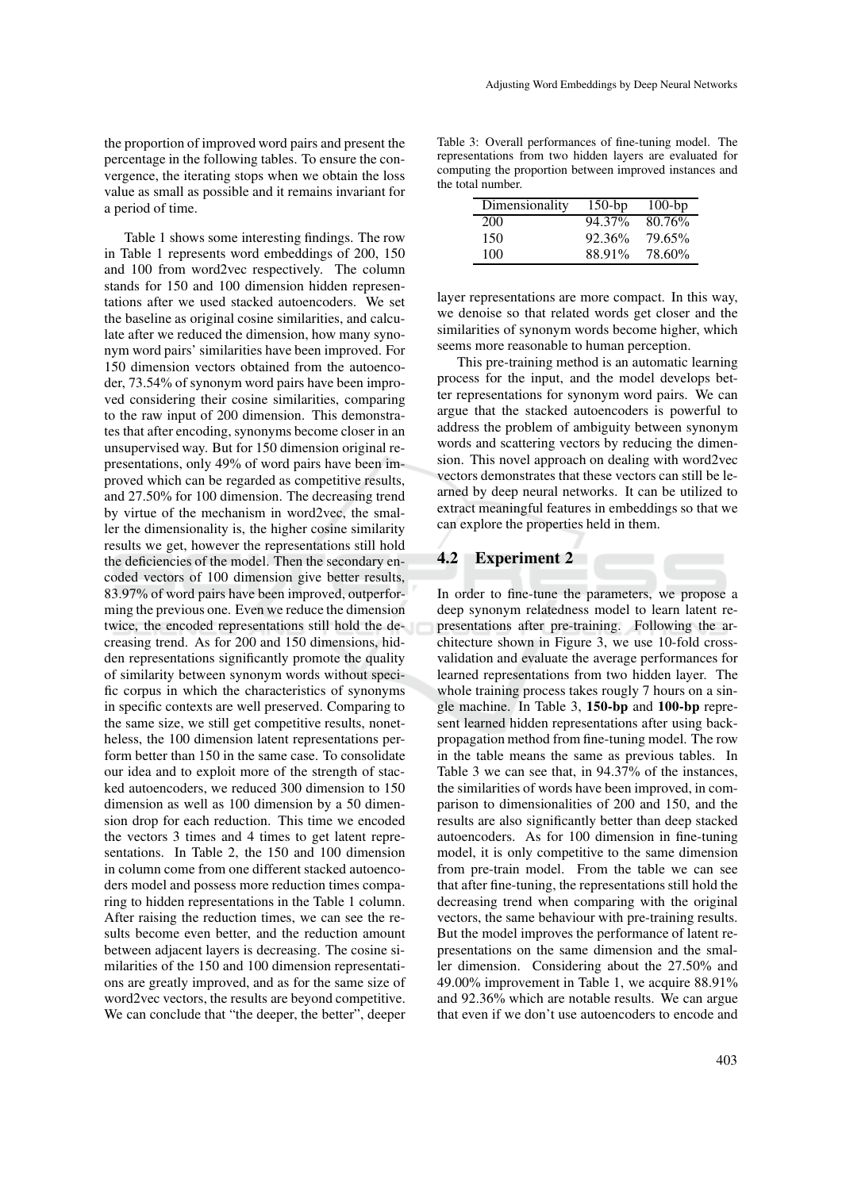the proportion of improved word pairs and present the percentage in the following tables. To ensure the convergence, the iterating stops when we obtain the loss value as small as possible and it remains invariant for a period of time.

Table 1 shows some interesting findings. The row in Table 1 represents word embeddings of 200, 150 and 100 from word2vec respectively. The column stands for 150 and 100 dimension hidden representations after we used stacked autoencoders. We set the baseline as original cosine similarities, and calculate after we reduced the dimension, how many synonym word pairs' similarities have been improved. For 150 dimension vectors obtained from the autoencoder, 73.54% of synonym word pairs have been improved considering their cosine similarities, comparing to the raw input of 200 dimension. This demonstrates that after encoding, synonyms become closer in an unsupervised way. But for 150 dimension original representations, only 49% of word pairs have been improved which can be regarded as competitive results, and 27.50% for 100 dimension. The decreasing trend by virtue of the mechanism in word2vec, the smaller the dimensionality is, the higher cosine similarity results we get, however the representations still hold the deficiencies of the model. Then the secondary encoded vectors of 100 dimension give better results, 83.97% of word pairs have been improved, outperforming the previous one. Even we reduce the dimension twice, the encoded representations still hold the decreasing trend. As for 200 and 150 dimensions, hidden representations significantly promote the quality of similarity between synonym words without specific corpus in which the characteristics of synonyms in specific contexts are well preserved. Comparing to the same size, we still get competitive results, nonetheless, the 100 dimension latent representations perform better than 150 in the same case. To consolidate our idea and to exploit more of the strength of stacked autoencoders, we reduced 300 dimension to 150 dimension as well as 100 dimension by a 50 dimension drop for each reduction. This time we encoded the vectors 3 times and 4 times to get latent representations. In Table 2, the 150 and 100 dimension in column come from one different stacked autoencoders model and possess more reduction times comparing to hidden representations in the Table 1 column. After raising the reduction times, we can see the results become even better, and the reduction amount between adjacent layers is decreasing. The cosine similarities of the 150 and 100 dimension representations are greatly improved, and as for the same size of word2vec vectors, the results are beyond competitive. We can conclude that "the deeper, the better", deeper

Table 3: Overall performances of fine-tuning model. The representations from two hidden layers are evaluated for computing the proportion between improved instances and the total number.

| Dimensionality | $150$ -bp | $100$ -bp |
|----------------|-----------|-----------|
| 200            | 94.37%    | 80.76%    |
| 150            | 92.36%    | 79.65%    |
| 100            | 88.91%    | 78.60%    |

layer representations are more compact. In this way, we denoise so that related words get closer and the similarities of synonym words become higher, which seems more reasonable to human perception.

This pre-training method is an automatic learning process for the input, and the model develops better representations for synonym word pairs. We can argue that the stacked autoencoders is powerful to address the problem of ambiguity between synonym words and scattering vectors by reducing the dimension. This novel approach on dealing with word2vec vectors demonstrates that these vectors can still be learned by deep neural networks. It can be utilized to extract meaningful features in embeddings so that we can explore the properties held in them.

## **4.2 Experiment 2**

In order to fine-tune the parameters, we propose a deep synonym relatedness model to learn latent representations after pre-training. Following the architecture shown in Figure 3, we use 10-fold crossvalidation and evaluate the average performances for learned representations from two hidden layer. The whole training process takes rougly 7 hours on a single machine. In Table 3, **150-bp** and **100-bp** represent learned hidden representations after using backpropagation method from fine-tuning model. The row in the table means the same as previous tables. In Table 3 we can see that, in 94.37% of the instances, the similarities of words have been improved, in comparison to dimensionalities of 200 and 150, and the results are also significantly better than deep stacked autoencoders. As for 100 dimension in fine-tuning model, it is only competitive to the same dimension from pre-train model. From the table we can see that after fine-tuning, the representations still hold the decreasing trend when comparing with the original vectors, the same behaviour with pre-training results. But the model improves the performance of latent representations on the same dimension and the smaller dimension. Considering about the 27.50% and 49.00% improvement in Table 1, we acquire 88.91% and 92.36% which are notable results. We can argue that even if we don't use autoencoders to encode and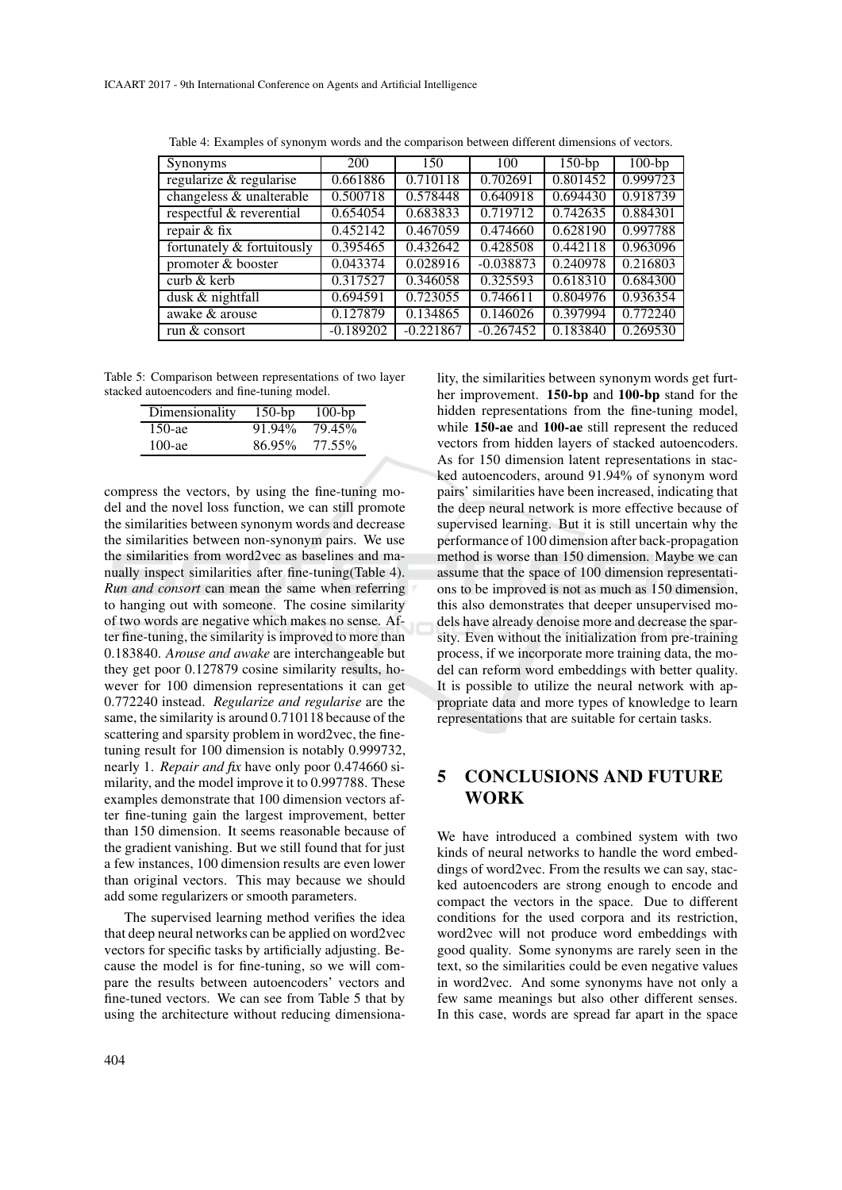| Synonyms                     | 200         | 150         | 100         | $150$ -bp | $100$ -bp |
|------------------------------|-------------|-------------|-------------|-----------|-----------|
| regularize & regularise      | 0.661886    | 0.710118    | 0.702691    | 0.801452  | 0.999723  |
| changeless & unalterable     | 0.500718    | 0.578448    | 0.640918    | 0.694430  | 0.918739  |
| respectful & reverential     | 0.654054    | 0.683833    | 0.719712    | 0.742635  | 0.884301  |
| repair & fix                 | 0.452142    | 0.467059    | 0.474660    | 0.628190  | 0.997788  |
| fortunately & fortuitously   | 0.395465    | 0.432642    | 0.428508    | 0.442118  | 0.963096  |
| promoter & booster           | 0.043374    | 0.028916    | $-0.038873$ | 0.240978  | 0.216803  |
| $\text{curl } \& \text{ker}$ | 0.317527    | 0.346058    | 0.325593    | 0.618310  | 0.684300  |
| dusk & nightfall             | 0.694591    | 0.723055    | 0.746611    | 0.804976  | 0.936354  |
| awake & arouse               | 0.127879    | 0.134865    | 0.146026    | 0.397994  | 0.772240  |
| run & consort                | $-0.189202$ | $-0.221867$ | $-0.267452$ | 0.183840  | 0.269530  |

Table 4: Examples of synonym words and the comparison between different dimensions of vectors.

Table 5: Comparison between representations of two layer stacked autoencoders and fine-tuning model.

| Dimensionality | $150$ -bp | $100$ -bp |
|----------------|-----------|-----------|
| $150$ -ae      | 91.94%    | 79.45%    |
| $100$ -ae      | 86.95%    | 77.55%    |

compress the vectors, by using the fine-tuning model and the novel loss function, we can still promote the similarities between synonym words and decrease the similarities between non-synonym pairs. We use the similarities from word2vec as baselines and manually inspect similarities after fine-tuning(Table 4). *Run and consort* can mean the same when referring to hanging out with someone. The cosine similarity of two words are negative which makes no sense. After fine-tuning, the similarity is improved to more than 0.183840. *Arouse and awake* are interchangeable but they get poor 0.127879 cosine similarity results, however for 100 dimension representations it can get 0.772240 instead. *Regularize and regularise* are the same, the similarity is around 0.710118 because of the scattering and sparsity problem in word2vec, the finetuning result for 100 dimension is notably 0.999732, nearly 1. *Repair and fix* have only poor 0.474660 similarity, and the model improve it to 0.997788. These examples demonstrate that 100 dimension vectors after fine-tuning gain the largest improvement, better than 150 dimension. It seems reasonable because of the gradient vanishing. But we still found that for just a few instances, 100 dimension results are even lower than original vectors. This may because we should add some regularizers or smooth parameters.

The supervised learning method verifies the idea that deep neural networks can be applied on word2vec vectors for specific tasks by artificially adjusting. Because the model is for fine-tuning, so we will compare the results between autoencoders' vectors and fine-tuned vectors. We can see from Table 5 that by using the architecture without reducing dimensionality, the similarities between synonym words get further improvement. **150-bp** and **100-bp** stand for the hidden representations from the fine-tuning model, while **150-ae** and **100-ae** still represent the reduced vectors from hidden layers of stacked autoencoders. As for 150 dimension latent representations in stacked autoencoders, around 91.94% of synonym word pairs' similarities have been increased, indicating that the deep neural network is more effective because of supervised learning. But it is still uncertain why the performance of 100 dimension after back-propagation method is worse than 150 dimension. Maybe we can assume that the space of 100 dimension representations to be improved is not as much as 150 dimension, this also demonstrates that deeper unsupervised models have already denoise more and decrease the sparsity. Even without the initialization from pre-training process, if we incorporate more training data, the model can reform word embeddings with better quality. It is possible to utilize the neural network with appropriate data and more types of knowledge to learn representations that are suitable for certain tasks.

## **5 CONCLUSIONS AND FUTURE WORK**

We have introduced a combined system with two kinds of neural networks to handle the word embeddings of word2vec. From the results we can say, stacked autoencoders are strong enough to encode and compact the vectors in the space. Due to different conditions for the used corpora and its restriction, word2vec will not produce word embeddings with good quality. Some synonyms are rarely seen in the text, so the similarities could be even negative values in word2vec. And some synonyms have not only a few same meanings but also other different senses. In this case, words are spread far apart in the space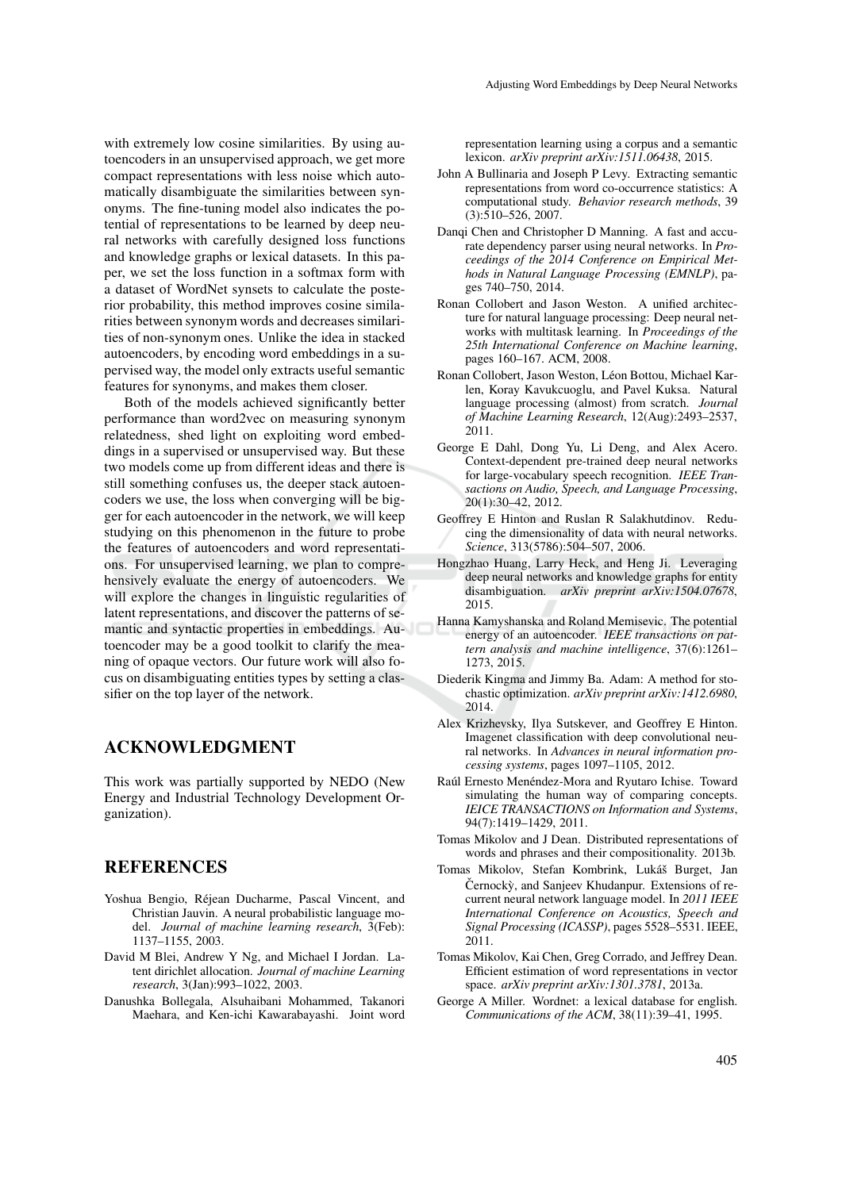with extremely low cosine similarities. By using autoencoders in an unsupervised approach, we get more compact representations with less noise which automatically disambiguate the similarities between synonyms. The fine-tuning model also indicates the potential of representations to be learned by deep neural networks with carefully designed loss functions and knowledge graphs or lexical datasets. In this paper, we set the loss function in a softmax form with a dataset of WordNet synsets to calculate the posterior probability, this method improves cosine similarities between synonym words and decreases similarities of non-synonym ones. Unlike the idea in stacked autoencoders, by encoding word embeddings in a supervised way, the model only extracts useful semantic features for synonyms, and makes them closer.

Both of the models achieved significantly better performance than word2vec on measuring synonym relatedness, shed light on exploiting word embeddings in a supervised or unsupervised way. But these two models come up from different ideas and there is still something confuses us, the deeper stack autoencoders we use, the loss when converging will be bigger for each autoencoder in the network, we will keep studying on this phenomenon in the future to probe the features of autoencoders and word representations. For unsupervised learning, we plan to comprehensively evaluate the energy of autoencoders. We will explore the changes in linguistic regularities of latent representations, and discover the patterns of semantic and syntactic properties in embeddings. Autoencoder may be a good toolkit to clarify the meaning of opaque vectors. Our future work will also focus on disambiguating entities types by setting a classifier on the top layer of the network.

#### **ACKNOWLEDGMENT**

This work was partially supported by NEDO (New Energy and Industrial Technology Development Organization).

### **REFERENCES**

- Yoshua Bengio, Réjean Ducharme, Pascal Vincent, and Christian Jauvin. A neural probabilistic language model. *Journal of machine learning research*, 3(Feb): 1137–1155, 2003.
- David M Blei, Andrew Y Ng, and Michael I Jordan. Latent dirichlet allocation. *Journal of machine Learning research*, 3(Jan):993–1022, 2003.
- Danushka Bollegala, Alsuhaibani Mohammed, Takanori Maehara, and Ken-ichi Kawarabayashi. Joint word

representation learning using a corpus and a semantic lexicon. *arXiv preprint arXiv:1511.06438*, 2015.

- John A Bullinaria and Joseph P Levy. Extracting semantic representations from word co-occurrence statistics: A computational study. *Behavior research methods*, 39 (3):510–526, 2007.
- Danqi Chen and Christopher D Manning. A fast and accurate dependency parser using neural networks. In *Proceedings of the 2014 Conference on Empirical Methods in Natural Language Processing (EMNLP)*, pages 740–750, 2014.
- Ronan Collobert and Jason Weston. A unified architecture for natural language processing: Deep neural networks with multitask learning. In *Proceedings of the 25th International Conference on Machine learning*, pages 160–167. ACM, 2008.
- Ronan Collobert, Jason Weston, Léon Bottou, Michael Karlen, Koray Kavukcuoglu, and Pavel Kuksa. Natural language processing (almost) from scratch. *Journal of Machine Learning Research*, 12(Aug):2493–2537, 2011.
- George E Dahl, Dong Yu, Li Deng, and Alex Acero. Context-dependent pre-trained deep neural networks for large-vocabulary speech recognition. *IEEE Transactions on Audio, Speech, and Language Processing*, 20(1):30–42, 2012.
- Geoffrey E Hinton and Ruslan R Salakhutdinov. Reducing the dimensionality of data with neural networks. *Science*, 313(5786):504–507, 2006.
- Hongzhao Huang, Larry Heck, and Heng Ji. Leveraging deep neural networks and knowledge graphs for entity disambiguation. *arXiv preprint arXiv:1504.07678*, 2015.
- Hanna Kamyshanska and Roland Memisevic. The potential energy of an autoencoder. *IEEE transactions on pattern analysis and machine intelligence*, 37(6):1261– 1273, 2015.
- Diederik Kingma and Jimmy Ba. Adam: A method for stochastic optimization. *arXiv preprint arXiv:1412.6980*, 2014.
- Alex Krizhevsky, Ilya Sutskever, and Geoffrey E Hinton. Imagenet classification with deep convolutional neural networks. In *Advances in neural information processing systems*, pages 1097–1105, 2012.
- Raúl Ernesto Menéndez-Mora and Ryutaro Ichise. Toward simulating the human way of comparing concepts. *IEICE TRANSACTIONS on Information and Systems*, 94(7):1419–1429, 2011.
- Tomas Mikolov and J Dean. Distributed representations of words and phrases and their compositionality. 2013b.
- Tomas Mikolov, Stefan Kombrink, Lukáš Burget, Jan Černockỳ, and Sanjeev Khudanpur. Extensions of recurrent neural network language model. In *2011 IEEE International Conference on Acoustics, Speech and Signal Processing (ICASSP)*, pages 5528–5531. IEEE, 2011.
- Tomas Mikolov, Kai Chen, Greg Corrado, and Jeffrey Dean. Efficient estimation of word representations in vector space. *arXiv preprint arXiv:1301.3781*, 2013a.
- George A Miller. Wordnet: a lexical database for english. *Communications of the ACM*, 38(11):39–41, 1995.